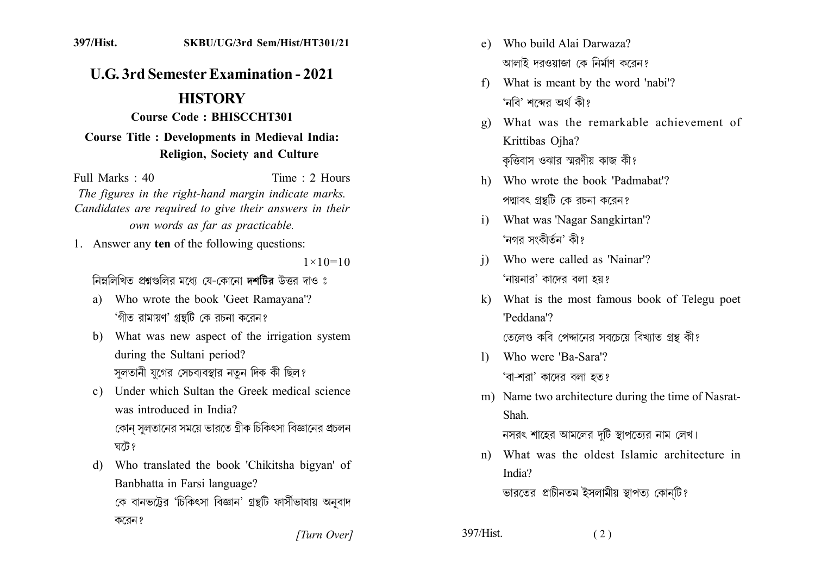## **U.G. 3rd Semester Examination - 2021**

## **HISTORY**

Course Code: BHISCCHT301

## **Course Title : Developments in Medieval India: Religion, Society and Culture**

Full Marks  $\cdot$  40 Time  $\cdot$  2 Hours The figures in the right-hand margin indicate marks. Candidates are required to give their answers in their own words as far as practicable.

1. Answer any ten of the following questions:

 $1 \times 10 = 10$ 

নিম্নলিখিত প্রশ্নগুলির মধ্যে য়ে-কোনো দশটির উত্তর দাও ঃ

- a) Who wrote the book 'Geet Ramayana'? 'গীত রামায়ণ' গ্রন্থটি কে রচনা করেন?
- b) What was new aspect of the irrigation system during the Sultani period? সুলতানী যুগের সেচব্যবস্থার নতুন দিক কী ছিল?
- c) Under which Sultan the Greek medical science was introduced in India? কোন সুলতানের সময়ে ভারতে গ্রীক চিকিৎসা বিজ্ঞানের প্রচলন

ঘটে ?

d) Who translated the book 'Chikitsha bigyan' of Banbhatta in Farsi language?

কে বানভট্টের 'চিকিৎসা বিজ্ঞান' গ্রন্থটি ফার্সীভাষায় অনুবাদ করেন ?

e) Who build Alai Darwaza? আলাই দরওয়াজা কে নির্মাণ করেন?

- f) What is meant by the word 'nabi'? 'নবি' শব্দের অর্থ কী?
- What was the remarkable achievement of  $\mathbf{g}$ ) Krittibas Ojha? কৃত্তিবাস ওঝার স্মরণীয় কাজ কী?
- h) Who wrote the book 'Padmabat'? পদ্মাবৎ গ্রন্থটি কে রচনা করেন?
- What was 'Nagar Sangkirtan'?  $\mathbf{i}$ 'নগর সংকীর্তন' কী?
- Who were called as 'Nainar'?  $\mathbf{i}$ 'নায়নার' কাদের বলা হয়?
- k) What is the most famous book of Telegu poet 'Peddana'?

তেলেণ্ড কবি পেদ্দানের সবচেয়ে বিখ্যাত গ্রন্থ কী?

- Who were 'Ba-Sara'?  $\mathbf{D}$ 'বা-শরা' কাদের বলা হত?
- m) Name two architecture during the time of Nasrat-Shah

নসরৎ শাহের আমলের দটি স্থাপত্যের নাম লেখ।

What was the oldest Islamic architecture in  $n)$ India?

ভারতের প্রাচীনতম ইসলামীয় স্থাপত্য কোনটি?

 $(2)$ 

[Turn Over]

397/Hist.